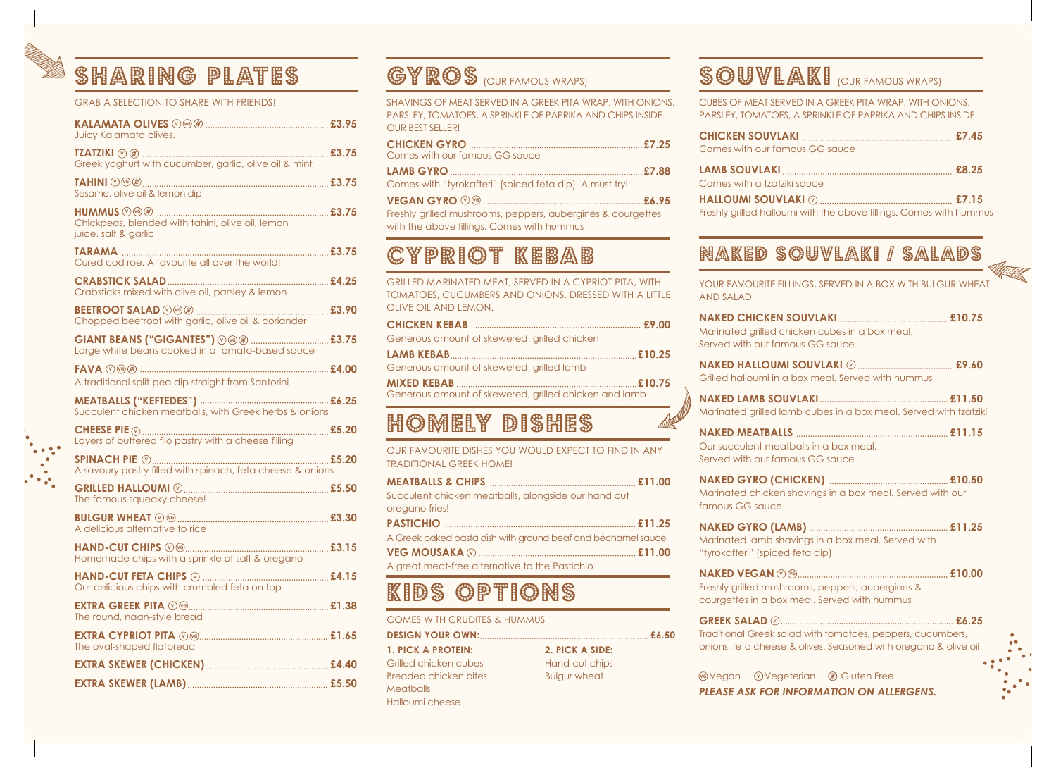### SHARING PLATES

### GRAB A SELECTION TO SHARE WITH FRIENDS!

| Juicy Kalamata olives.                                                               |  |
|--------------------------------------------------------------------------------------|--|
| Greek yoghurt with cucumber, garlic, olive oil & mint                                |  |
| Sesame, olive oil & lemon dip                                                        |  |
| Chickpeas, blended with tahini, olive oil, lemon<br>juice, salt & garlic             |  |
| Cured cod roe. A favourite all over the world!                                       |  |
| Crabsticks mixed with olive oil, parsley & lemon                                     |  |
| Chopped beetroot with garlic, olive oil & coriander                                  |  |
| GIANT BEANS ("GIGANTES") ⓒ £3.75<br>Large white beans cooked in a tomato-based sauce |  |
| A traditional split-pea dip straight from Santorini                                  |  |
| Succulent chicken meatballs, with Greek herbs & onions                               |  |
|                                                                                      |  |
|                                                                                      |  |
| The famous squeaky cheese!                                                           |  |
| A delicious alternative to rice                                                      |  |
| Homemade chips with a sprinkle of salt & oregano                                     |  |
| Our delicious chips with crumbled feta on top                                        |  |
| The round, naan-style bread                                                          |  |
| The oval-shaped flatbread                                                            |  |
|                                                                                      |  |
|                                                                                      |  |

## **GYROS** (OUR FAMOUS WRAPS)

SHAVINGS OF MEAT SERVED IN A GREEK PITA WRAP, WITH ONIONS, PARSLEY, TOMATOES, A SPRINKLE OF PAPRIKA AND CHIPS INSIDE. OUR BEST SELLER!

|                                                             | <u>CHICKEN JOU VEAN </u>      |
|-------------------------------------------------------------|-------------------------------|
| Comes with our famous GG sauce                              | Comes with our famous G       |
|                                                             | LAMB SOUVLAKI                 |
| Comes with "tyrokafteri" (spiced feta dip). A must try!     | Comes with a tzatziki saud    |
|                                                             | <b>HALLOUMI SOUVLAKI @</b>    |
| Freshly grilled mushrooms, peppers, aubergines & courgettes | Freshly grilled halloumi with |
| with the above fillings. Comes with hummus                  |                               |

### CYPRIOT KEBAB

| GRILLED MARINATED MEAT, SERVED IN A CYPRIOT PITA, WITH<br>TOMATOES, CUCUMBERS AND ONIONS. DRESSED WITH A LITTLE<br>OLIVE OIL AND LEMON. |
|-----------------------------------------------------------------------------------------------------------------------------------------|
| Generous amount of skewered, grilled chicken                                                                                            |
| Generous amount of skewered, grilled lamb                                                                                               |
| Generous amount of skewered, grilled chicken and lamb                                                                                   |

## HOMELY DISHES

OUR FAVOURITE DISHES YOU WOULD EXPECT TO FIND IN ANY TRADITIONAL GREEK HOME! **MEATBALLS & CHIPS £11.00**

| Succulent chicken meatballs, alongside our hand cut          |
|--------------------------------------------------------------|
| oregano fries!                                               |
|                                                              |
| A Greek baked pasta dish with ground beaf and béchamel sauce |
|                                                              |
| A great meat-free alternative to the Pastichio               |

## KIDS OPTIONS

| COMES WITH CRUDITES & HUMMUS |                     |  |
|------------------------------|---------------------|--|
|                              |                     |  |
| 1. PICK A PROTEIN:           | 2. PICK A SIDE:     |  |
| Grilled chicken cubes        | Hand-cut chips      |  |
| Breaded chicken bites        | <b>Bulgur wheat</b> |  |
| <b>Meatballs</b>             |                     |  |

Halloumi cheese

### **SOUVLAKI** (OUR FAMOUS WRAPS)

CUBES OF MEAT SERVED IN A GREEK PITA WRAP, WITH ONIONS, PARSLEY, TOMATOES, A SPRINKLE OF PAPRIKA AND CHIPS INSIDE.

| Comes with our famous GG sauce                                       |  |
|----------------------------------------------------------------------|--|
|                                                                      |  |
| Comes with a tzatziki sauce                                          |  |
|                                                                      |  |
| Freshly grilled halloumi with the above fillings. Comes with hummund |  |

### NAKED SOUVLAKI / SALADS

YOUR FAVOURITE FILLINGS, SERVED IN A BOX WITH BULGUR WHEAT AND SALAD **NAKED CHICKEN SOUVLAKI £10.75** Marinated grilled chicken cubes in a box meal. Served with our famous GG sauce **NAKED HALLOUMI SOUVLAKI £9.60 V** Grilled halloumi in a box meal. Served with hummus **NAKED LAMB SOUVLAKI £11.50** Marinated grilled lamb cubes in a box meal. Served with tzatziki **NAKED MEATBALLS £11.15** Our succulent meatballs in a box meal. Served with our famous GG sauce **NAKED GYRO (CHICKEN) £10.50** Marinated chicken shavings in a box meal. Served with our famous GG sauce **NAKED GYRO (LAMB) £11.25** Marinated lamb shavings in a box meal. Served with "tyrokafteri" (spiced feta dip) **NAKED VEGAN £10.00 V VG** Freshly grilled mushrooms, peppers, aubergines & courgettes in a box meal. Served with hummus **GREEK SALAD £6.25** Traditional Greek salad with tomatoes, peppers, cucumbers, onions, feta cheese & olives. Seasoned with oregano & olive oil **GREEK SALAD**  $\odot$ ........

*PLEASE ASK FOR INFORMATION ON ALLERGENS. <u>Wegan Wegeterian</u> C* Gluten Free